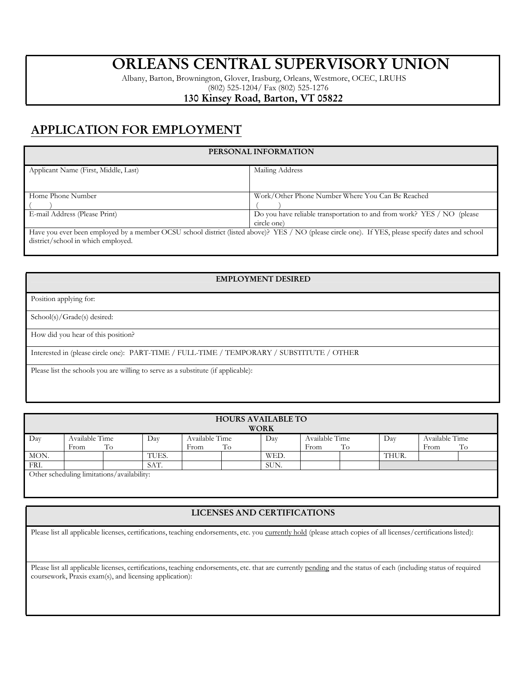# **ORLEANS CENTRAL SUPERVISORY UNION**

Albany, Barton, Brownington, Glover, Irasburg, Orleans, Westmore, OCEC, LRUHS (802) 525-1204/ Fax (802) 525-1276

### **130 Kinsey Road, Barton, VT 05822**

## **APPLICATION FOR EMPLOYMENT**

#### **PERSONAL INFORMATION** Applicant Name (First, Middle, Last) Mailing Address Home Phone Number  $($   $)$ Work/Other Phone Number Where You Can Be Reached  $($   $)$ E-mail Address (Please Print) **Do you have reliable transportation to and from work?** YES / NO (please circle one) Have you ever been employed by a member OCSU school district (listed above)? YES / NO (please circle one). If YES, please specify dates and school district/school in which employed.

#### **EMPLOYMENT DESIRED**

Position applying for:

School(s)/Grade(s) desired:

How did you hear of this position?

Interested in (please circle one): PART-TIME / FULL-TIME / TEMPORARY / SUBSTITUTE / OTHER

Please list the schools you are willing to serve as a substitute (if applicable):

| <b>HOURS AVAILABLE TO</b><br><b>WORK</b>   |                              |  |       |                              |  |      |                              |  |       |                              |  |
|--------------------------------------------|------------------------------|--|-------|------------------------------|--|------|------------------------------|--|-------|------------------------------|--|
| Day                                        | Available Time<br>To<br>From |  | Day   | Available Time<br>To<br>From |  | Day  | Available Time<br>To<br>From |  | Day   | Available Time<br>To<br>From |  |
| MON.                                       |                              |  | TUES. |                              |  | WED. |                              |  | THUR. |                              |  |
| FRI.                                       |                              |  | SAT.  |                              |  | SUN. |                              |  |       |                              |  |
| Other scheduling limitations/availability: |                              |  |       |                              |  |      |                              |  |       |                              |  |

#### **LICENSES AND CERTIFICATIONS**

Please list all applicable licenses, certifications, teaching endorsements, etc. you currently hold (please attach copies of all licenses/certifications listed):

Please list all applicable licenses, certifications, teaching endorsements, etc. that are currently pending and the status of each (including status of required coursework, Praxis exam(s), and licensing application):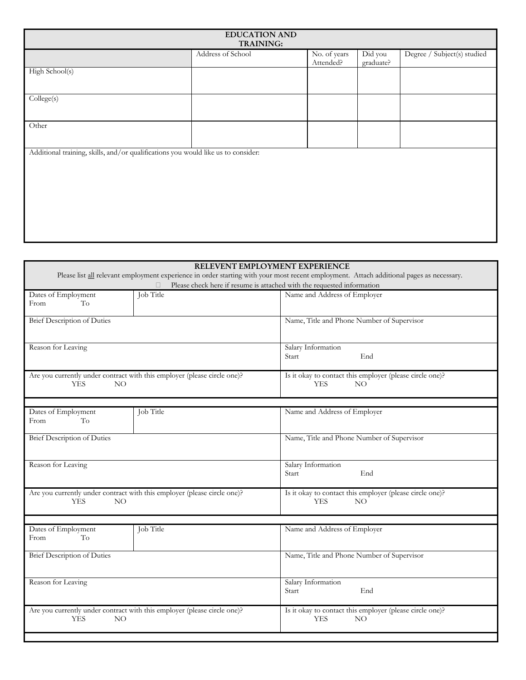| <b>EDUCATION AND</b><br><b>TRAINING:</b>                                          |                   |                           |                      |                             |  |  |
|-----------------------------------------------------------------------------------|-------------------|---------------------------|----------------------|-----------------------------|--|--|
|                                                                                   | Address of School | No. of years<br>Attended? | Did you<br>graduate? | Degree / Subject(s) studied |  |  |
| High School(s)                                                                    |                   |                           |                      |                             |  |  |
| College(s)                                                                        |                   |                           |                      |                             |  |  |
| Other                                                                             |                   |                           |                      |                             |  |  |
| Additional training, skills, and/or qualifications you would like us to consider: |                   |                           |                      |                             |  |  |
|                                                                                   |                   |                           |                      |                             |  |  |
|                                                                                   |                   |                           |                      |                             |  |  |

|                                                                                                                                          | RELEVENT EMPLOYMENT EXPERIENCE                                               |  |  |  |  |  |
|------------------------------------------------------------------------------------------------------------------------------------------|------------------------------------------------------------------------------|--|--|--|--|--|
| Please list all relevant employment experience in order starting with your most recent employment. Attach additional pages as necessary. |                                                                              |  |  |  |  |  |
| Please check here if resume is attached with the requested information<br>П                                                              |                                                                              |  |  |  |  |  |
| Job Title<br>Dates of Employment                                                                                                         | Name and Address of Employer                                                 |  |  |  |  |  |
| To<br>From                                                                                                                               |                                                                              |  |  |  |  |  |
| <b>Brief Description of Duties</b>                                                                                                       | Name, Title and Phone Number of Supervisor                                   |  |  |  |  |  |
| Reason for Leaving                                                                                                                       | Salary Information<br>End<br>Start                                           |  |  |  |  |  |
| Are you currently under contract with this employer (please circle one)?<br><b>YES</b><br>NO                                             | Is it okay to contact this employer (please circle one)?<br><b>YES</b><br>NO |  |  |  |  |  |
| Job Title                                                                                                                                |                                                                              |  |  |  |  |  |
| Dates of Employment<br>To<br>From                                                                                                        | Name and Address of Employer                                                 |  |  |  |  |  |
| <b>Brief Description of Duties</b>                                                                                                       | Name, Title and Phone Number of Supervisor                                   |  |  |  |  |  |
| Reason for Leaving                                                                                                                       | Salary Information<br>End<br>Start                                           |  |  |  |  |  |
| Are you currently under contract with this employer (please circle one)?<br><b>YES</b><br>NO                                             | Is it okay to contact this employer (please circle one)?<br><b>YES</b><br>NO |  |  |  |  |  |
|                                                                                                                                          |                                                                              |  |  |  |  |  |
| Job Title<br>Dates of Employment<br>To<br>From                                                                                           | Name and Address of Employer                                                 |  |  |  |  |  |
| <b>Brief Description of Duties</b>                                                                                                       | Name, Title and Phone Number of Supervisor                                   |  |  |  |  |  |
| Reason for Leaving                                                                                                                       | Salary Information<br>End<br>Start                                           |  |  |  |  |  |
| Are you currently under contract with this employer (please circle one)?<br><b>YES</b><br>NO                                             | Is it okay to contact this employer (please circle one)?<br><b>YES</b><br>NO |  |  |  |  |  |
|                                                                                                                                          |                                                                              |  |  |  |  |  |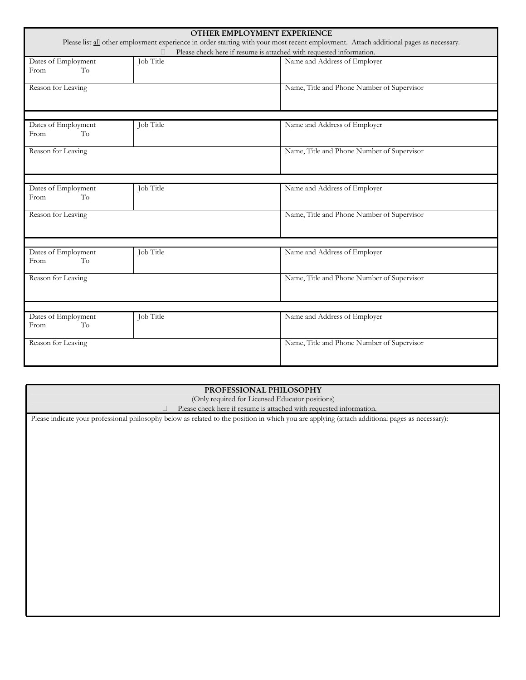| OTHER EMPLOYMENT EXPERIENCE                                                                                                                                                                                  |           |                                            |  |  |  |  |
|--------------------------------------------------------------------------------------------------------------------------------------------------------------------------------------------------------------|-----------|--------------------------------------------|--|--|--|--|
| Please list all other employment experience in order starting with your most recent employment. Attach additional pages as necessary.<br>Please check here if resume is attached with requested information. |           |                                            |  |  |  |  |
| Dates of Employment                                                                                                                                                                                          | Job Title | Name and Address of Employer               |  |  |  |  |
| To<br>From                                                                                                                                                                                                   |           |                                            |  |  |  |  |
| Reason for Leaving                                                                                                                                                                                           |           | Name, Title and Phone Number of Supervisor |  |  |  |  |
|                                                                                                                                                                                                              |           |                                            |  |  |  |  |
| Dates of Employment<br>To<br>From                                                                                                                                                                            | Job Title | Name and Address of Employer               |  |  |  |  |
| Reason for Leaving                                                                                                                                                                                           |           | Name, Title and Phone Number of Supervisor |  |  |  |  |
|                                                                                                                                                                                                              |           |                                            |  |  |  |  |
| Dates of Employment<br>To<br>From                                                                                                                                                                            | Job Title | Name and Address of Employer               |  |  |  |  |
| Reason for Leaving                                                                                                                                                                                           |           | Name, Title and Phone Number of Supervisor |  |  |  |  |
|                                                                                                                                                                                                              |           |                                            |  |  |  |  |
| Dates of Employment<br>To<br>From                                                                                                                                                                            | Job Title | Name and Address of Employer               |  |  |  |  |
| Reason for Leaving                                                                                                                                                                                           |           | Name, Title and Phone Number of Supervisor |  |  |  |  |
|                                                                                                                                                                                                              |           |                                            |  |  |  |  |
| Dates of Employment<br>To<br>From                                                                                                                                                                            | Job Title | Name and Address of Employer               |  |  |  |  |
| Reason for Leaving                                                                                                                                                                                           |           | Name, Title and Phone Number of Supervisor |  |  |  |  |

| PROFESSIONAL PHILOSOPHY                                                                                                                         |  |  |  |  |  |  |
|-------------------------------------------------------------------------------------------------------------------------------------------------|--|--|--|--|--|--|
| (Only required for Licensed Educator positions)                                                                                                 |  |  |  |  |  |  |
| Please check here if resume is attached with requested information.                                                                             |  |  |  |  |  |  |
| Please indicate your professional philosophy below as related to the position in which you are applying (attach additional pages as necessary): |  |  |  |  |  |  |
|                                                                                                                                                 |  |  |  |  |  |  |
|                                                                                                                                                 |  |  |  |  |  |  |
|                                                                                                                                                 |  |  |  |  |  |  |
|                                                                                                                                                 |  |  |  |  |  |  |
|                                                                                                                                                 |  |  |  |  |  |  |
|                                                                                                                                                 |  |  |  |  |  |  |
|                                                                                                                                                 |  |  |  |  |  |  |
|                                                                                                                                                 |  |  |  |  |  |  |
|                                                                                                                                                 |  |  |  |  |  |  |
|                                                                                                                                                 |  |  |  |  |  |  |
|                                                                                                                                                 |  |  |  |  |  |  |
|                                                                                                                                                 |  |  |  |  |  |  |
|                                                                                                                                                 |  |  |  |  |  |  |
|                                                                                                                                                 |  |  |  |  |  |  |
|                                                                                                                                                 |  |  |  |  |  |  |
|                                                                                                                                                 |  |  |  |  |  |  |
|                                                                                                                                                 |  |  |  |  |  |  |
|                                                                                                                                                 |  |  |  |  |  |  |
|                                                                                                                                                 |  |  |  |  |  |  |
|                                                                                                                                                 |  |  |  |  |  |  |
|                                                                                                                                                 |  |  |  |  |  |  |
|                                                                                                                                                 |  |  |  |  |  |  |